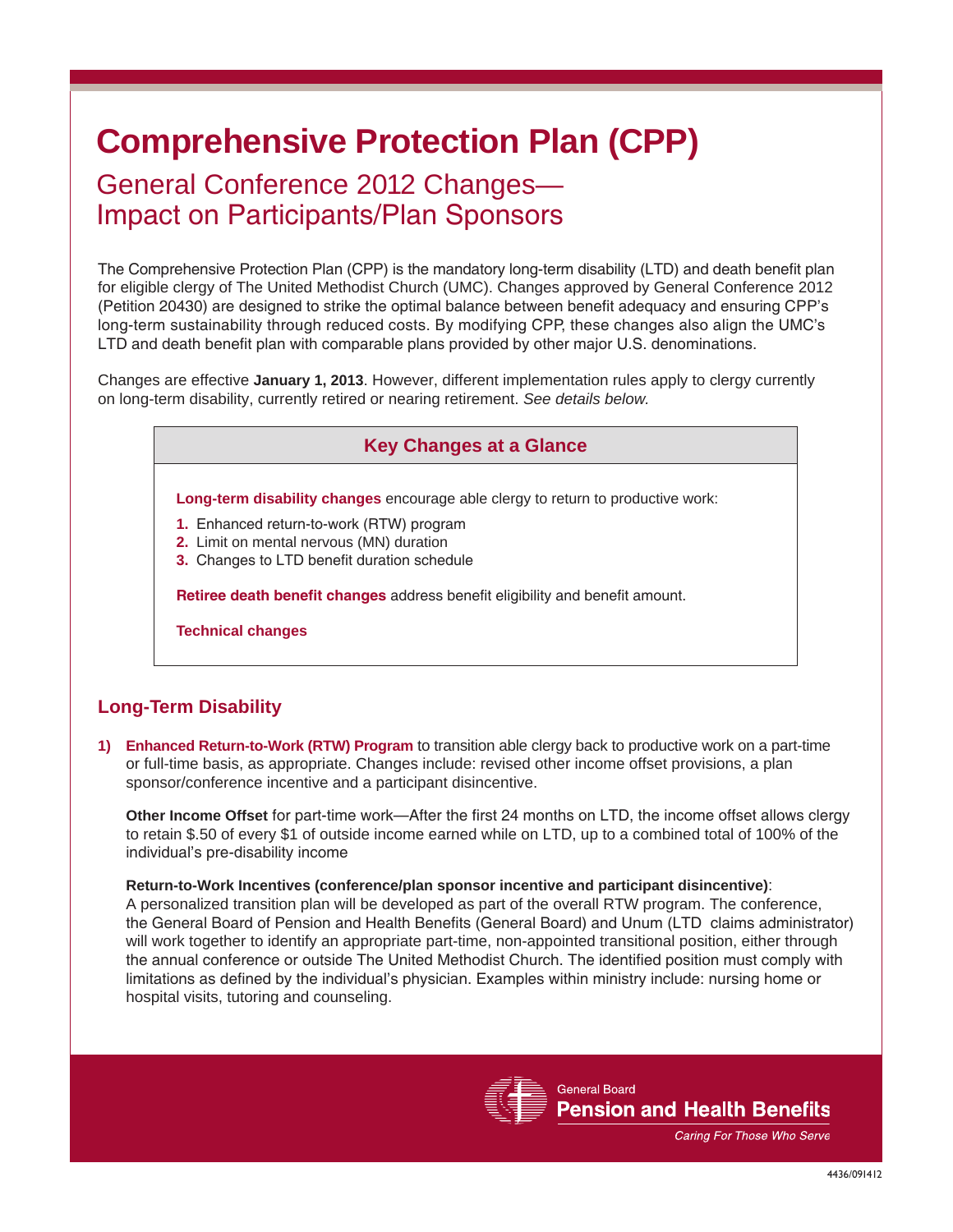# **Comprehensive Protection Plan (CPP)**

## General Conference 2012 Changes— Impact on Participants/Plan Sponsors

The Comprehensive Protection Plan (CPP) is the mandatory long-term disability (LTD) and death benefit plan for eligible clergy of The United Methodist Church (UMC). Changes approved by General Conference 2012 (Petition 20430) are designed to strike the optimal balance between benefit adequacy and ensuring CPP's long-term sustainability through reduced costs. By modifying CPP, these changes also align the UMC's LTD and death benefit plan with comparable plans provided by other major U.S. denominations.

Changes are effective **January 1, 2013**. However, different implementation rules apply to clergy currently on long-term disability, currently retired or nearing retirement. *See details below.*

## **Key Changes at a Glance**

**Long-term disability changes** encourage able clergy to return to productive work:

- **1.** Enhanced return-to-work (RTW) program
- **2.** Limit on mental nervous (MN) duration
- **3.** Changes to LTD benefit duration schedule

**Retiree death benefit changes** address benefit eligibility and benefit amount.

**Technical changes**

### **Long-Term Disability**

**1) Enhanced Return-to-Work (RTW) Program** to transition able clergy back to productive work on a part-time or full-time basis, as appropriate. Changes include: revised other income offset provisions, a plan sponsor/conference incentive and a participant disincentive.

**Other Income Offset** for part-time work—After the first 24 months on LTD, the income offset allows clergy to retain \$.50 of every \$1 of outside income earned while on LTD, up to a combined total of 100% of the individual's pre-disability income

#### **Return-to-Work Incentives (conference/plan sponsor incentive and participant disincentive)**:

A personalized transition plan will be developed as part of the overall RTW program. The conference, the General Board of Pension and Health Benefits (General Board) and Unum (LTD claims administrator) will work together to identify an appropriate part-time, non-appointed transitional position, either through the annual conference or outside The United Methodist Church. The identified position must comply with limitations as defined by the individual's physician. Examples within ministry include: nursing home or hospital visits, tutoring and counseling.



**General Board Pension and Health Benefits** 

Caring For Those Who Serve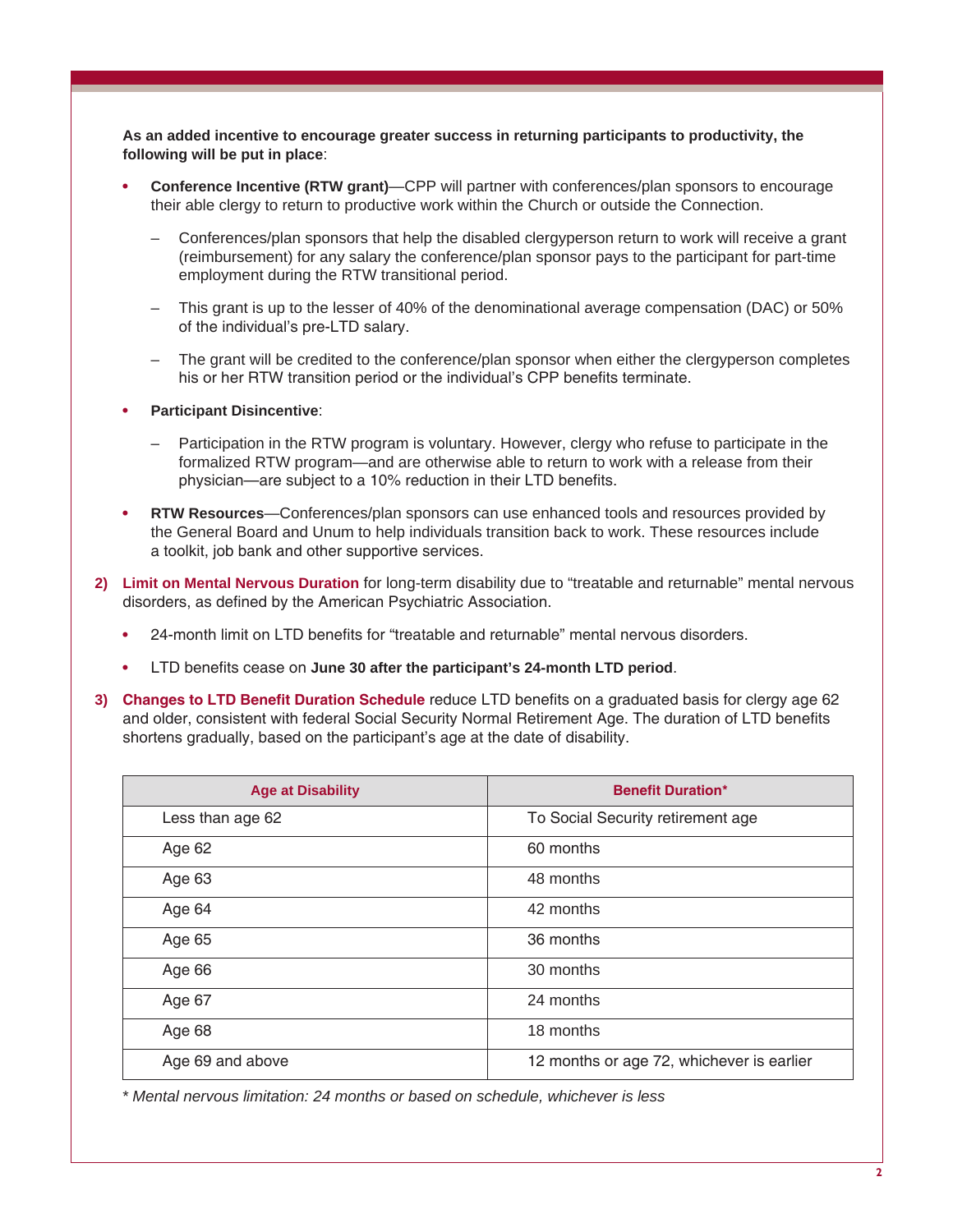**As an added incentive to encourage greater success in returning participants to productivity, the following will be put in place**:

- **• Conference Incentive (RTW grant)**—CPP will partner with conferences/plan sponsors to encourage their able clergy to return to productive work within the Church or outside the Connection.
	- Conferences/plan sponsors that help the disabled clergyperson return to work will receive a grant (reimbursement) for any salary the conference/plan sponsor pays to the participant for part-time employment during the RTW transitional period.
	- This grant is up to the lesser of 40% of the denominational average compensation (DAC) or 50% of the individual's pre-LTD salary.
	- The grant will be credited to the conference/plan sponsor when either the clergyperson completes his or her RTW transition period or the individual's CPP benefits terminate.
- **• Participant Disincentive**:
	- Participation in the RTW program is voluntary. However, clergy who refuse to participate in the formalized RTW program—and are otherwise able to return to work with a release from their physician—are subject to a 10% reduction in their LTD benefits.
- **• RTW Resources**—Conferences/plan sponsors can use enhanced tools and resources provided by the General Board and Unum to help individuals transition back to work. These resources include a toolkit, job bank and other supportive services.
- **2) Limit on Mental Nervous Duration** for long-term disability due to "treatable and returnable" mental nervous disorders, as defined by the American Psychiatric Association.
	- **•** 24-month limit on LTD benefits for "treatable and returnable" mental nervous disorders.
	- **•** LTD benefits cease on **June 30 after the participant's 24-month LTD period**.
- **3) Changes to LTD Benefit Duration Schedule** reduce LTD benefits on a graduated basis for clergy age 62 and older, consistent with federal Social Security Normal Retirement Age. The duration of LTD benefits shortens gradually, based on the participant's age at the date of disability.

| <b>Age at Disability</b> | <b>Benefit Duration*</b>                  |
|--------------------------|-------------------------------------------|
| Less than age 62         | To Social Security retirement age         |
| Age 62                   | 60 months                                 |
| Age 63                   | 48 months                                 |
| Age 64                   | 42 months                                 |
| Age 65                   | 36 months                                 |
| Age 66                   | 30 months                                 |
| Age 67                   | 24 months                                 |
| Age 68                   | 18 months                                 |
| Age 69 and above         | 12 months or age 72, whichever is earlier |

*\* Mental nervous limitation: 24 months or based on schedule, whichever is less*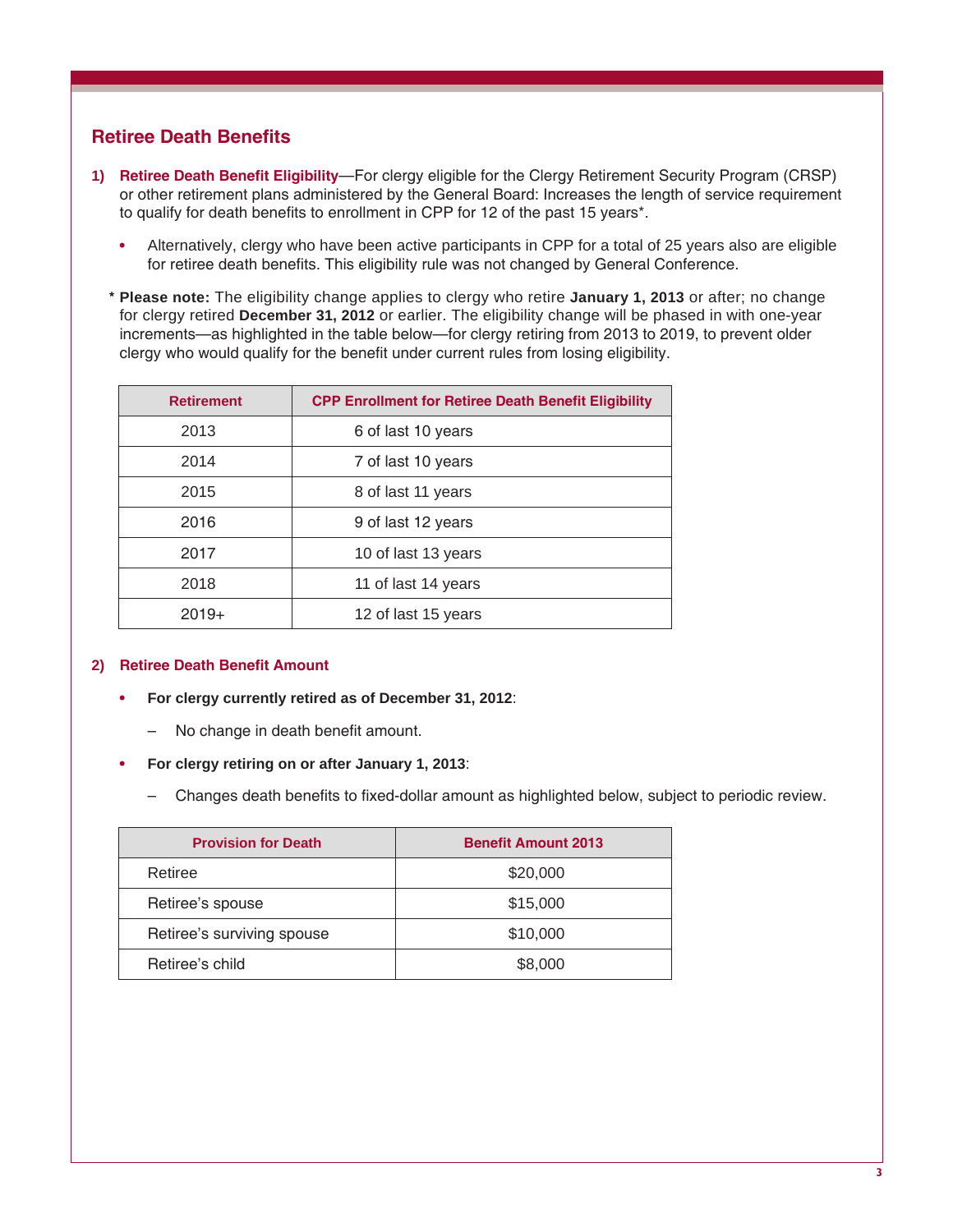## **Retiree Death Benefits**

- **1) Retiree Death Benefit Eligibility**—For clergy eligible for the Clergy Retirement Security Program (CRSP) or other retirement plans administered by the General Board: Increases the length of service requirement to qualify for death benefits to enrollment in CPP for 12 of the past 15 years\*.
	- **•** Alternatively, clergy who have been active participants in CPP for a total of 25 years also are eligible for retiree death benefits. This eligibility rule was not changed by General Conference.
	- **\* Please note:** The eligibility change applies to clergy who retire **January 1, 2013** or after; no change for clergy retired **December 31, 2012** or earlier. The eligibility change will be phased in with one-year increments—as highlighted in the table below—for clergy retiring from 2013 to 2019, to prevent older clergy who would qualify for the benefit under current rules from losing eligibility.

| <b>Retirement</b> | <b>CPP Enrollment for Retiree Death Benefit Eligibility</b> |
|-------------------|-------------------------------------------------------------|
| 2013              | 6 of last 10 years                                          |
| 2014              | 7 of last 10 years                                          |
| 2015              | 8 of last 11 years                                          |
| 2016              | 9 of last 12 years                                          |
| 2017              | 10 of last 13 years                                         |
| 2018              | 11 of last 14 years                                         |
| $2019+$           | 12 of last 15 years                                         |

#### **2) Retiree Death Benefit Amount**

- **• For clergy currently retired as of December 31, 2012**:
	- No change in death benefit amount.
- **• For clergy retiring on or after January 1, 2013**:
	- Changes death benefits to fixed-dollar amount as highlighted below, subject to periodic review.

| <b>Provision for Death</b> | <b>Benefit Amount 2013</b> |
|----------------------------|----------------------------|
| Retiree                    | \$20,000                   |
| Retiree's spouse           | \$15,000                   |
| Retiree's surviving spouse | \$10,000                   |
| Retiree's child            | \$8,000                    |